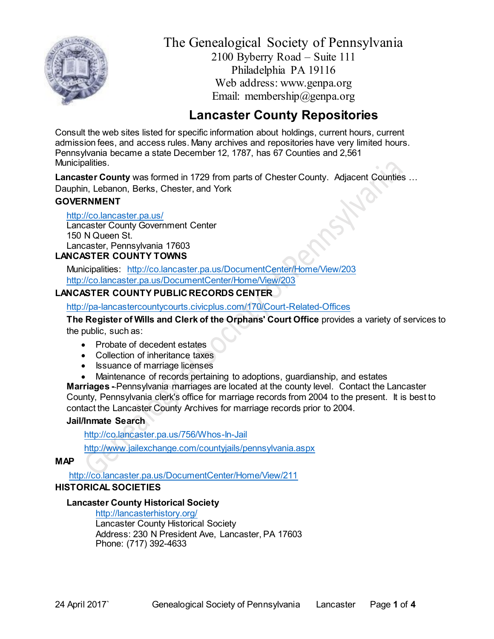

The Genealogical Society of Pennsylvania 2100 Byberry Road – Suite 111 Philadelphia PA 19116 Web address: www.genpa.org Email: membership@genpa.org

# **Lancaster County Repositories**

Consult the web sites listed for specific information about holdings, current hours, current admission fees, and access rules. Many archives and repositories have very limited hours. Pennsylvania became a state December 12, 1787, has 67 Counties and 2,561 Municipalities.

**Lancaster County** was formed in 1729 from parts of Chester County. Adjacent Counties … Dauphin, Lebanon, Berks, Chester, and York

# **GOVERNMENT**

<http://co.lancaster.pa.us/>

Lancaster County Government Center 150 N Queen St. Lancaster, Pennsylvania 17603 **LANCASTER COUNT[Y TOWNS](http://www.bradfordcountypa.org/index.php/our-towns)**

Municipalities: <http://co.lancaster.pa.us/DocumentCenter/Home/View/203> <http://co.lancaster.pa.us/DocumentCenter/Home/View/203>

# **LANCASTER COUNTY PUBLIC RECORDS CENTER**

<http://pa-lancastercountycourts.civicplus.com/170/Court-Related-Offices>

**The Register of Wills and Clerk of the Orphans' Court Office** provides a variety of services to the public, such as:

- Probate of decedent estates
- Collection of inheritance taxes
- Issuance of marriage licenses
- Maintenance of records pertaining to adoptions, guardianship, and estates

**Marriages -** Pennsylvania marriages are located at the county level. Contact the Lancaster County, Pennsylvania clerk's office for marriage records from 2004 to the present. It is best to contact the Lancaster County Archives for marriage records prior to 2004.

# **Jail/Inmate Search**

<http://co.lancaster.pa.us/756/Whos-In-Jail>

<http://www.jailexchange.com/countyjails/pennsylvania.aspx>

**MAP**

<http://co.lancaster.pa.us/DocumentCenter/Home/View/211> **HISTORICAL SOCIETIES**

# **Lancaster County Historical Society**

<http://lancasterhistory.org/> Lancaster County Historical Society Address: 230 N President Ave, Lancaster, PA 17603 Phone: (717) 392-4633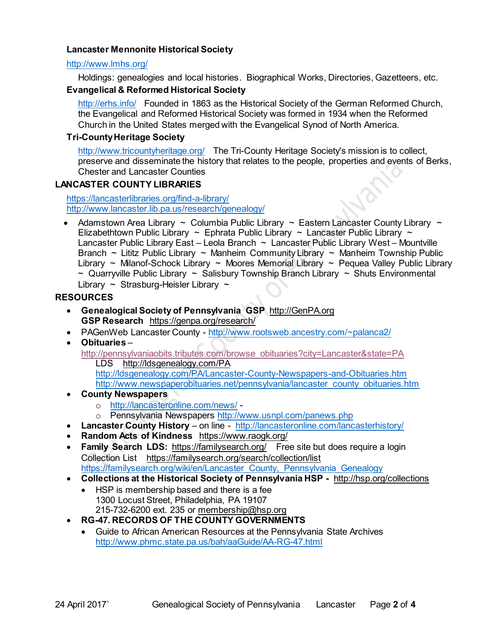# **Lancaster Mennonite Historical Society**

#### <http://www.lmhs.org/>

Holdings: genealogies and local histories. Biographical Works, Directories, Gazetteers, etc.

# **Evangelical & Reformed Historical Society**

<http://erhs.info/>Founded in 1863 as the Historical Society of the German Reformed Church, the Evangelical and Reformed Historical Society was formed in 1934 when the Reformed Church in the United States merged with the Evangelical Synod of North America.

# **Tri-County Heritage Society**

<http://www.tricountyheritage.org/>The Tri-County Heritage Society's mission is to collect, preserve and disseminate the history that relates to the people, properties and events of Berks, Chester and Lancaster Counties

# **LANCASTER COUNTY LIBRARIES**

<https://lancasterlibraries.org/find-a-library/> <http://www.lancaster.lib.pa.us/research/genealogy/>

• Adamstown Area Library  $\sim$  Columbia Public Library  $\sim$  Eastern Lancaster County Library  $\sim$ Elizabethtown Public Library ~ Ephrata Public Library ~ Lancaster Public Library ~ Lancaster Public Library East – Leola Branch ~ Lancaster Public Library West – Mountville Branch  $\sim$  Lititz Public Library  $\sim$  Manheim Community Library  $\sim$  Manheim Township Public Library ~ Milanof-Schock Library ~ Moores Memorial Library ~ Pequea Valley Public Library  $\sim$  Quarryville Public Library  $\sim$  Salisbury Township Branch Library  $\sim$  Shuts Environmental Library  $\sim$  Strasburg-Heisler Library  $\sim$ 

# **RESOURCES**

- **Genealogical Society of Pennsylvania GSP** [http://GenPA.org](http://genpa.org/) **GSP Research** <https://genpa.org/research/>
- PAGenWeb Lancaster County <http://www.rootsweb.ancestry.com/~palanca2/>
- **Obituaries** [http://pennsylvaniaobits.tributes.com/browse\\_obituaries?city=Lancaster&state=PA](http://pennsylvaniaobits.tributes.com/browse_obituaries?city=Lancaster&state=PA) LDS <http://ldsgenealogy.com/PA> <http://ldsgenealogy.com/PA/Lancaster-County-Newspapers-and-Obituaries.htm> [http://www.newspaperobituaries.net/pennsylvania/lancaster\\_county\\_obituaries.htm](http://www.newspaperobituaries.net/pennsylvania/lancaster_county_obituaries.htm)
- **County Newspapers** 
	- o <http://lancasteronline.com/news/> -
	- o Pennsylvania Newspapers<http://www.usnpl.com/panews.php>
- **Lancaster County History** on line <http://lancasteronline.com/lancasterhistory/>
- **Random Acts of Kindness** <https://www.raogk.org/>
- **Family Search LDS:** <https://familysearch.org/>Free site but does require a login Collection List <https://familysearch.org/search/collection/list> [https://familysearch.org/wiki/en/Lancaster\\_County,\\_Pennsylvania\\_Genealogy](https://familysearch.org/wiki/en/???_County,_Pennsylvania_Genealogy)
- **Collections at the Historical Society of Pennsylvania HSP -** <http://hsp.org/collections>
	- HSP is membership based and there is a fee 1300 Locust Street, Philadelphia, PA 19107 215-732-6200 ext. 235 or [membership@hsp.org](mailto:membership@hsp.org)
- **RG-47. RECORDS OF THE COUNTY GOVERNMENTS**
	- Guide to African American Resources at the Pennsylvania State Archives <http://www.phmc.state.pa.us/bah/aaGuide/AA-RG-47.html>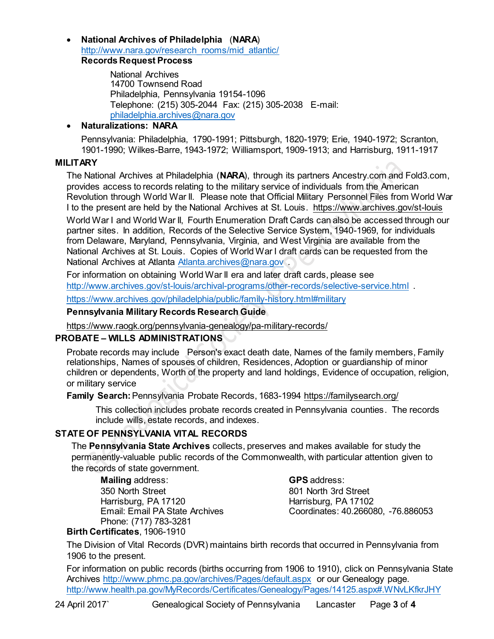**National Archives of Philadelphia** (**NARA**) [http://www.nara.gov/research\\_rooms/mid\\_atlantic/](http://www.nara.gov/research_rooms/mid_atlantic/) **Records Request Process**

> National Archives 14700 Townsend Road Philadelphia, Pennsylvania 19154-1096 Telephone: (215) 305-2044 Fax: (215) 305-2038 E-mail: [philadelphia.archives@nara.gov](mailto:philadelphia.archives@nara.gov)

# **Naturalizations: NARA**

Pennsylvania: Philadelphia, 1790-1991; Pittsburgh, 1820-1979; Erie, 1940-1972; Scranton, 1901-1990; Wilkes-Barre, 1943-1972; Williamsport, 1909-1913; and Harrisburg, 1911-1917

#### **MILITARY**

The National Archives at Philadelphia (**NARA**), through its partners Ancestry.com and Fold3.com, provides access to records relating to the military service of individuals from the American Revolution through World War II. Please note that Official Military Personnel Files from World War I to the present are held by the National Archives at St. Louis. <https://www.archives.gov/st-louis>

World War I and World War II, Fourth Enumeration Draft Cards can also be accessed through our partner sites. In addition, Records of the Selective Service System, 1940-1969, for individuals from Delaware, Maryland, Pennsylvania, Virginia, and West Virginia are available from the National Archives at St. Louis. Copies of World War I draft cards can be requested from the National Archives at Atlanta [Atlanta.archives@nara.gov](mailto:Atlanta.archives@nara.gov).

For information on obtaining World War II era and later draft cards, please see http://www.archives.gov/st-louis/archival-programs/other-records/selective-service.html

<https://www.archives.gov/philadelphia/public/family-history.html#military>

#### **Pennsylvania Military Records Research Guide**

<https://www.raogk.org/pennsylvania-genealogy/pa-military-records/>

#### **PROBATE – WILLS ADMINISTRATIONS**

Probate records may include Person's exact death date, Names of the family members, Family relationships, Names of spouses of children, Residences, Adoption or guardianship of minor children or dependents, Worth of the property and land holdings, Evidence of occupation, religion, or military service

**Family Search:**Pennsylvania Probate Records, 1683-1994 <https://familysearch.org/>

This collection includes probate records created in Pennsylvania counties. The records include wills, estate records, and indexes.

#### **STATE OF PENNSYLVANIA VITAL RECORDS**

The **Pennsylvania State Archives** collects, preserves and makes available for study the permanently-valuable public records of the Commonwealth, with particular attention given to the records of state government.

**Mailing** address: 350 North Street Harrisburg, PA 17120 Email: Email PA State Archives Phone: (717) 783-3281 **Birth Certificates**, 1906-1910

**GPS** address: 801 North 3rd Street Harrisburg, PA 17102 Coordinates: 40.266080, -76.886053

The Division of Vital Records (DVR) maintains birth records that occurred in Pennsylvania from 1906 to the present.

For information on public records (births occurring from 1906 to 1910), click on Pennsylvania State Archives <http://www.phmc.pa.gov/archives/Pages/default.aspx>or our Genealogy page. <http://www.health.pa.gov/MyRecords/Certificates/Genealogy/Pages/14125.aspx#.WNvLKfkrJHY>